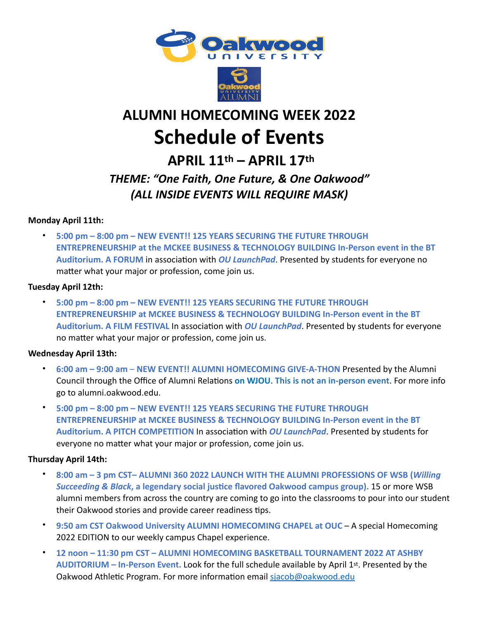



# **ALUMNI HOMECOMING WEEK 2022 Schedule of Events**

 **APRIL 11th – APRIL 17th**

### *THEME: "One Faith, One Future, & One Oakwood" (ALL INSIDE EVENTS WILL REQUIRE MASK)*

#### **Monday April 11th:**

• **5:00 pm – 8:00 pm – NEW EVENT!! 125 YEARS SECURING THE FUTURE THROUGH ENTREPRENEURSHIP at the MCKEE BUSINESS & TECHNOLOGY BUILDING In-Person event in the BT Auditorium. A FORUM** in association with *OU LaunchPad*. Presented by students for everyone no matter what your major or profession, come join us.

#### **Tuesday April 12th:**

• **5:00 pm – 8:00 pm – NEW EVENT!! 125 YEARS SECURING THE FUTURE THROUGH ENTREPRENEURSHIP at MCKEE BUSINESS & TECHNOLOGY BUILDING In-Person event in the BT Auditorium. A FILM FESTIVAL** In association with *OU LaunchPad*. Presented by students for everyone no matter what your major or profession, come join us.

#### **Wednesday April 13th:**

- **6:00 am 9:00 am NEW EVENT!! ALUMNI HOMECOMING GIVE-A-THON** Presented by the Alumni Council through the Office of Alumni Relations **on WJOU**. **This is not an in-person event**. For more info go to alumni.oakwood.edu.
- **5:00 pm 8:00 pm NEW EVENT!! 125 YEARS SECURING THE FUTURE THROUGH ENTREPRENEURSHIP at MCKEE BUSINESS & TECHNOLOGY BUILDING In-Person event in the BT Auditorium. A PITCH COMPETITION** In association with *OU LaunchPad*. Presented by students for everyone no matter what your major or profession, come join us.

#### **Thursday April 14th:**

- **8:00 am 3 pm CST– ALUMNI 360 2022 LAUNCH WITH THE ALUMNI PROFESSIONS OF WSB (***Willing Succeeding & Black***, a legendary social justice flavored Oakwood campus group).** 15 or more WSB alumni members from across the country are coming to go into the classrooms to pour into our student their Oakwood stories and provide career readiness tips.
- **9:50 am CST Oakwood University ALUMNI HOMECOMING CHAPEL at OUC** A special Homecoming 2022 EDITION to our weekly campus Chapel experience.
- **12 noon 11:30 pm CST ALUMNI HOMECOMING BASKETBALL TOURNAMENT 2022 AT ASHBY AUDITORIUM – In-Person Event.** Look for the full schedule available by April 1st. Presented by the Oakwood Athletic Program. For more information email [sjacob@oakwood.edu](mailto:sjacob@oakwood.edu)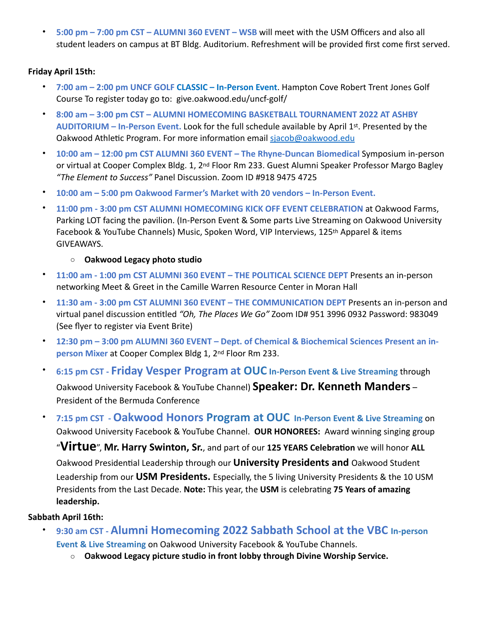• **5:00 pm – 7:00 pm CST – ALUMNI 360 EVENT – WSB** will meet with the USM Officers and also all student leaders on campus at BT Bldg. Auditorium. Refreshment will be provided first come first served.

#### **Friday April 15th:**

- **7:00 am 2:00 pm UNCF GOLF CLASSIC In-Person Event**. Hampton Cove Robert Trent Jones Golf Course To register today go to: give.oakwood.edu/uncf-golf/
- **8:00 am 3:00 pm CST ALUMNI HOMECOMING BASKETBALL TOURNAMENT 2022 AT ASHBY AUDITORIUM – In-Person Event.** Look for the full schedule available by April 1st. Presented by the Oakwood Athletic Program. For more information email [sjacob@oakwood.edu](mailto:sjacob@oakwood.edu)
- **10:00 am 12:00 pm CST ALUMNI 360 EVENT The Rhyne-Duncan Biomedical** Symposium in-person or virtual at Cooper Complex Bldg. 1, 2nd Floor Rm 233. Guest Alumni Speaker Professor Margo Bagley *"The Element to Success"* Panel Discussion. Zoom ID #918 9475 4725
- **10:00 am 5:00 pm Oakwood Farmer's Market with 20 vendors In-Person Event.**
- **11:00 pm 3:00 pm CST ALUMNI HOMECOMING KICK OFF EVENT CELEBRATION** at Oakwood Farms, Parking LOT facing the pavilion. (In-Person Event & Some parts Live Streaming on Oakwood University Facebook & YouTube Channels) Music, Spoken Word, VIP Interviews, 125<sup>th</sup> Apparel & items GIVEAWAYS.
	- o **Oakwood Legacy photo studio**
- **11:00 am 1:00 pm CST ALUMNI 360 EVENT THE POLITICAL SCIENCE DEPT** Presents an in-person networking Meet & Greet in the Camille Warren Resource Center in Moran Hall
- **11:30 am 3:00 pm CST ALUMNI 360 EVENT THE COMMUNICATION DEPT** Presents an in-person and virtual panel discussion entitled *"Oh, The Places We Go"* Zoom ID# 951 3996 0932 Password: 983049 (See flyer to register via Event Brite)
- **12:30 pm 3:00 pm ALUMNI 360 EVENT Dept. of Chemical & Biochemical Sciences Present an inperson Mixer** at Cooper Complex Bldg 1, 2nd Floor Rm 233.
- **6:15 pm CST Friday Vesper Program at OUC In-Person Event & Live Streaming** through Oakwood University Facebook & YouTube Channel) **Speaker: Dr. Kenneth Manders** – President of the Bermuda Conference
- **7:15 pm CST Oakwood Honors Program at OUC In-Person Event & Live Streaming** on Oakwood University Facebook & YouTube Channel. **OUR HONOREES:** Award winning singing group "**Virtue**", **Mr. Harry Swinton, Sr.**, and part of our **125 YEARS Celebration** we will honor **ALL** Oakwood Presidential Leadership through our **University Presidents and** Oakwood Student Leadership from our **USM Presidents.** Especially, the 5 living University Presidents & the 10 USM Presidents from the Last Decade. **Note:** This year, the **USM** is celebrating **75 Years of amazing leadership.**

#### **Sabbath April 16th:**

- **9:30 am CST Alumni Homecoming 2022 Sabbath School at the VBC In-person Event & Live Streaming** on Oakwood University Facebook & YouTube Channels.
	- o **Oakwood Legacy picture studio in front lobby through Divine Worship Service.**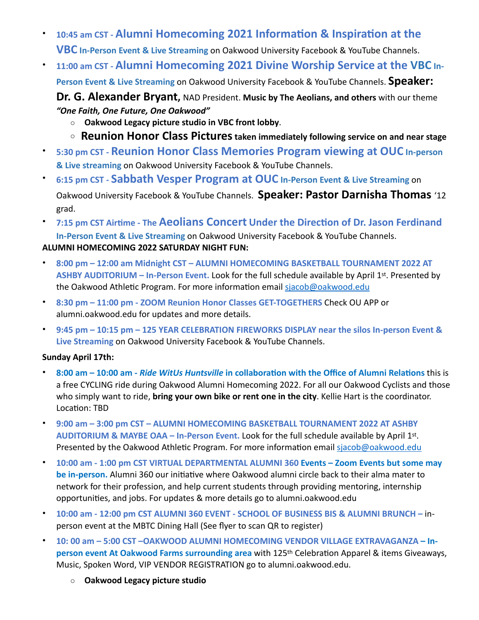- **10:45 am CST Alumni Homecoming 2021 Information & Inspiration at the VBC In-Person Event & Live Streaming** on Oakwood University Facebook & YouTube Channels.
- **11:00 am CST Alumni Homecoming 2021 Divine Worship Service at the VBC In-**

**Person Event & Live Streaming** on Oakwood University Facebook & YouTube Channels. **Speaker:** 

**Dr. G. Alexander Bryant,** NAD President. **Music by The Aeolians, and others** with our theme *"One Faith, One Future, One Oakwood"* 

- o **Oakwood Legacy picture studio in VBC front lobby**.
- <sup>o</sup> **Reunion Honor Class Pictures taken immediately following service on and near stage**
- **5:30 pm CST Reunion Honor Class Memories Program viewing at OUC In-person & Live streaming** on Oakwood University Facebook & YouTube Channels.
- **6:15 pm CST Sabbath Vesper Program at OUC In-Person Event & Live Streaming** on Oakwood University Facebook & YouTube Channels. **Speaker: Pastor Darnisha Thomas** '12 grad.
- **7:15 pm CST Airtime The Aeolians Concert Under the Direction of Dr. Jason Ferdinand In-Person Event & Live Streaming** on Oakwood University Facebook & YouTube Channels. **ALUMNI HOMECOMING 2022 SATURDAY NIGHT FUN:**
- **8:00 pm 12:00 am Midnight CST ALUMNI HOMECOMING BASKETBALL TOURNAMENT 2022 AT ASHBY AUDITORIUM – In-Person Event.** Look for the full schedule available by April 1st. Presented by the Oakwood Athletic Program. For more information email [sjacob@oakwood.edu](mailto:sjacob@oakwood.edu)
- **8:30 pm 11:00 pm ZOOM Reunion Honor Classes GET-TOGETHERS** Check OU APP or alumni.oakwood.edu for updates and more details.
- **9:45 pm 10:15 pm 125 YEAR CELEBRATION FIREWORKS DISPLAY near the silos In-person Event & Live Streaming** on Oakwood University Facebook & YouTube Channels.

#### **Sunday April 17th:**

- **8:00 am 10:00 am -** *Ride WitUs Huntsville* **in collaboration with the Office of Alumni Relations** this is a free CYCLING ride during Oakwood Alumni Homecoming 2022. For all our Oakwood Cyclists and those who simply want to ride, **bring your own bike or rent one in the city**. Kellie Hart is the coordinator. Location: TBD
- **9:00 am 3:00 pm CST ALUMNI HOMECOMING BASKETBALL TOURNAMENT 2022 AT ASHBY AUDITORIUM & MAYBE OAA – In-Person Event.** Look for the full schedule available by April 1st. Presented by the Oakwood Athletic Program. For more information email [sjacob@oakwood.edu](mailto:sjacob@oakwood.edu)
- **10:00 am 1:00 pm CST VIRTUAL DEPARTMENTAL ALUMNI 360 Events Zoom Events but some may be in-person.** Alumni 360 our initiative where Oakwood alumni circle back to their alma mater to network for their profession, and help current students through providing mentoring, internship opportunities, and jobs. For updates & more details go to alumni.oakwood.edu
- **10:00 am 12:00 pm CST ALUMNI 360 EVENT SCHOOL OF BUSINESS BIS & ALUMNI BRUNCH –** inperson event at the MBTC Dining Hall (See flyer to scan QR to register)
- **10: 00 am 5:00 CST –OAKWOOD ALUMNI HOMECOMING VENDOR VILLAGE EXTRAVAGANZA Inperson event At Oakwood Farms surrounding area** with 125th Celebration Apparel & items Giveaways, Music, Spoken Word, VIP VENDOR REGISTRATION go to alumni.oakwood.edu.
	- o **Oakwood Legacy picture studio**